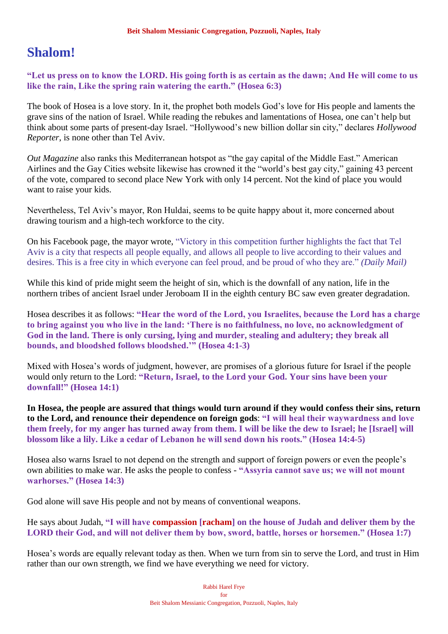# **Shalom!**

**"Let us press on to know the LORD. His going forth is as certain as the dawn; And He will come to us like the rain, Like the spring rain watering the earth." (Hosea 6:3)**

The book of Hosea is a love story. In it, the prophet both models God's love for His people and laments the grave sins of the nation of Israel. While reading the rebukes and lamentations of Hosea, one can't help but think about some parts of present-day Israel. "Hollywood's new billion dollar sin city," declares *Hollywood Reporter*, is none other than Tel Aviv.

*Out Magazine* also ranks this Mediterranean hotspot as "the gay capital of the Middle East." American Airlines and the Gay Cities website likewise has crowned it the "world's best gay city," gaining 43 percent of the vote, compared to second place New York with only 14 percent. Not the kind of place you would want to raise your kids.

Nevertheless, Tel Aviv's mayor, Ron Huldai, seems to be quite happy about it, more concerned about drawing tourism and a high-tech workforce to the city.

On his Facebook page, the mayor wrote, "Victory in this competition further highlights the fact that Tel Aviv is a city that respects all people equally, and allows all people to live according to their values and desires. This is a free city in which everyone can feel proud, and be proud of who they are." *(Daily Mail)*

While this kind of pride might seem the height of sin, which is the downfall of any nation, life in the northern tribes of ancient Israel under Jeroboam II in the eighth century BC saw even greater degradation.

Hosea describes it as follows: **"Hear the word of the Lord, you Israelites, because the Lord has a charge to bring against you who live in the land: 'There is no faithfulness, no love, no acknowledgment of God in the land. There is only cursing, lying and murder, stealing and adultery; they break all bounds, and bloodshed follows bloodshed.'" (Hosea 4:1-3)**

Mixed with Hosea's words of judgment, however, are promises of a glorious future for Israel if the people would only return to the Lord: **"Return, Israel, to the Lord your God. Your sins have been your downfall!" (Hosea 14:1)**

**In Hosea, the people are assured that things would turn around if they would confess their sins, return to the Lord, and renounce their dependence on foreign gods**: **"I will heal their waywardness and love them freely, for my anger has turned away from them. I will be like the dew to Israel; he [Israel] will blossom like a lily. Like a cedar of Lebanon he will send down his roots." (Hosea 14:4-5)**

Hosea also warns Israel to not depend on the strength and support of foreign powers or even the people's own abilities to make war. He asks the people to confess - **"Assyria cannot save us; we will not mount warhorses." (Hosea 14:3)**

God alone will save His people and not by means of conventional weapons.

He says about Judah, **"I will have compassion [racham] on the house of Judah and deliver them by the LORD their God, and will not deliver them by bow, sword, battle, horses or horsemen." (Hosea 1:7)**

Hosea's words are equally relevant today as then. When we turn from sin to serve the Lord, and trust in Him rather than our own strength, we find we have everything we need for victory.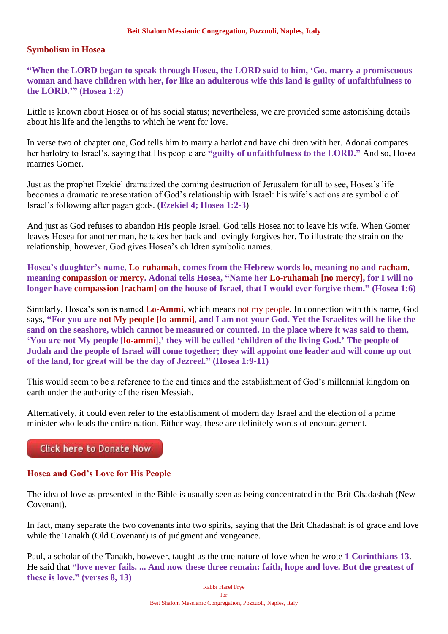## **Symbolism in Hosea**

**"When the LORD began to speak through Hosea, the LORD said to him, 'Go, marry a promiscuous woman and have children with her, for like an adulterous wife this land is guilty of unfaithfulness to the LORD.'" (Hosea 1:2)**

Little is known about Hosea or of his social status; nevertheless, we are provided some astonishing details about his life and the lengths to which he went for love.

In verse two of chapter one, God tells him to marry a harlot and have children with her. Adonai compares her harlotry to Israel's, saying that His people are **"guilty of unfaithfulness to the LORD."** And so, Hosea marries Gomer.

Just as the prophet Ezekiel dramatized the coming destruction of Jerusalem for all to see, Hosea's life becomes a dramatic representation of God's relationship with Israel: his wife's actions are symbolic of Israel's following after pagan gods. (**Ezekiel 4; Hosea 1:2-3**)

And just as God refuses to abandon His people Israel, God tells Hosea not to leave his wife. When Gomer leaves Hosea for another man, he takes her back and lovingly forgives her. To illustrate the strain on the relationship, however, God gives Hosea's children symbolic names.

**Hosea's daughter's name, Lo-ruhamah, comes from the Hebrew words lo, meaning no and racham**, **meaning compassion or mercy. Adonai tells Hosea, "Name her Lo-ruhamah [no mercy], for I will no longer have compassion [racham] on the house of Israel, that I would ever forgive them." (Hosea 1:6)**

Similarly, Hosea's son is named **Lo-Ammi**, which means not my people. In connection with this name, God says, **"For you are not My people [lo-ammi], and I am not your God. Yet the Israelites will be like the sand on the seashore, which cannot be measured or counted. In the place where it was said to them, 'You are not My people [lo-ammi],' they will be called 'children of the living God.' The people of Judah and the people of Israel will come together; they will appoint one leader and will come up out of the land, for great will be the day of Jezreel." (Hosea 1:9-11)**

This would seem to be a reference to the end times and the establishment of God's millennial kingdom on earth under the authority of the risen Messiah.

Alternatively, it could even refer to the establishment of modern day Israel and the election of a prime minister who leads the entire nation. Either way, these are definitely words of encouragement.

**Click here to Donate Now** 

## **Hosea and God's Love for His People**

The idea of love as presented in the Bible is usually seen as being concentrated in the Brit Chadashah (New Covenant).

In fact, many separate the two covenants into two spirits, saying that the Brit Chadashah is of grace and love while the Tanakh (Old Covenant) is of judgment and vengeance.

Paul, a scholar of the Tanakh, however, taught us the true nature of love when he wrote **1 Corinthians 13**. He said that **"love never fails. ... And now these three remain: faith, hope and love. But the greatest of these is love." (verses 8, 13)**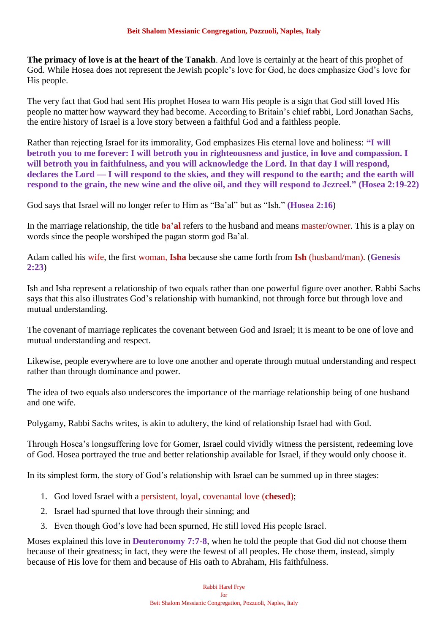**The primacy of love is at the heart of the Tanakh**. And love is certainly at the heart of this prophet of God. While Hosea does not represent the Jewish people's love for God, he does emphasize God's love for His people.

The very fact that God had sent His prophet Hosea to warn His people is a sign that God still loved His people no matter how wayward they had become. According to Britain's chief rabbi, Lord Jonathan Sachs, the entire history of Israel is a love story between a faithful God and a faithless people.

Rather than rejecting Israel for its immorality, God emphasizes His eternal love and holiness: **"I will betroth you to me forever: I will betroth you in righteousness and justice, in love and compassion. I will betroth you in faithfulness, and you will acknowledge the Lord. In that day I will respond,**  declares the Lord — I will respond to the skies, and they will respond to the earth; and the earth will **respond to the grain, the new wine and the olive oil, and they will respond to Jezreel." (Hosea 2:19-22)**

God says that Israel will no longer refer to Him as "Ba'al" but as "Ish." **(Hosea 2:16**)

In the marriage relationship, the title **ba'al** refers to the husband and means master/owner. This is a play on words since the people worshiped the pagan storm god Ba'al.

Adam called his wife, the first woman, **Isha** because she came forth from **Ish** (husband/man). (**Genesis 2:23**)

Ish and Isha represent a relationship of two equals rather than one powerful figure over another. Rabbi Sachs says that this also illustrates God's relationship with humankind, not through force but through love and mutual understanding.

The covenant of marriage replicates the covenant between God and Israel; it is meant to be one of love and mutual understanding and respect.

Likewise, people everywhere are to love one another and operate through mutual understanding and respect rather than through dominance and power.

The idea of two equals also underscores the importance of the marriage relationship being of one husband and one wife.

Polygamy, Rabbi Sachs writes, is akin to adultery, the kind of relationship Israel had with God.

Through Hosea's longsuffering love for Gomer, Israel could vividly witness the persistent, redeeming love of God. Hosea portrayed the true and better relationship available for Israel, if they would only choose it.

In its simplest form, the story of God's relationship with Israel can be summed up in three stages:

- 1. God loved Israel with a persistent, loyal, covenantal love (**chesed**);
- 2. Israel had spurned that love through their sinning; and
- 3. Even though God's love had been spurned, He still loved His people Israel.

Moses explained this love in **Deuteronomy 7:7-8**, when he told the people that God did not choose them because of their greatness; in fact, they were the fewest of all peoples. He chose them, instead, simply because of His love for them and because of His oath to Abraham, His faithfulness.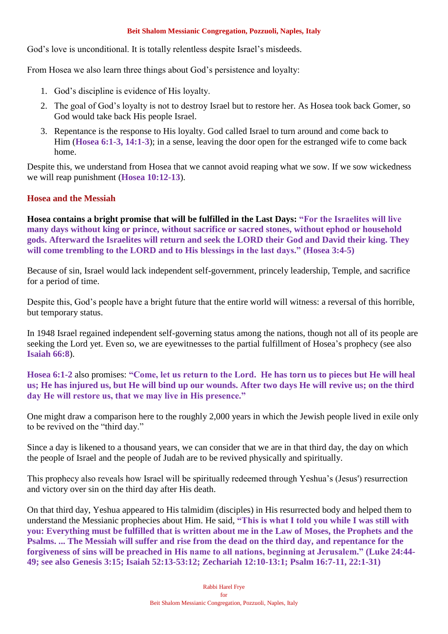God's love is unconditional. It is totally relentless despite Israel's misdeeds.

From Hosea we also learn three things about God's persistence and loyalty:

- 1. God's discipline is evidence of His loyalty.
- 2. The goal of God's loyalty is not to destroy Israel but to restore her. As Hosea took back Gomer, so God would take back His people Israel.
- 3. Repentance is the response to His loyalty. God called Israel to turn around and come back to Him (**Hosea 6:1-3, 14:1-3**); in a sense, leaving the door open for the estranged wife to come back home.

Despite this, we understand from Hosea that we cannot avoid reaping what we sow. If we sow wickedness we will reap punishment (**Hosea 10:12-13**).

## **Hosea and the Messiah**

**Hosea contains a bright promise that will be fulfilled in the Last Days: "For the Israelites will live many days without king or prince, without sacrifice or sacred stones, without ephod or household gods. Afterward the Israelites will return and seek the LORD their God and David their king. They will come trembling to the LORD and to His blessings in the last days." (Hosea 3:4-5)**

Because of sin, Israel would lack independent self-government, princely leadership, Temple, and sacrifice for a period of time.

Despite this, God's people have a bright future that the entire world will witness: a reversal of this horrible, but temporary status.

In 1948 Israel regained independent self-governing status among the nations, though not all of its people are seeking the Lord yet. Even so, we are eyewitnesses to the partial fulfillment of Hosea's prophecy (see also **Isaiah 66:8**).

**Hosea 6:1-2** also promises: **"Come, let us return to the Lord. He has torn us to pieces but He will heal us; He has injured us, but He will bind up our wounds. After two days He will revive us; on the third day He will restore us, that we may live in His presence."**

One might draw a comparison here to the roughly 2,000 years in which the Jewish people lived in exile only to be revived on the "third day."

Since a day is likened to a thousand years, we can consider that we are in that third day, the day on which the people of Israel and the people of Judah are to be revived physically and spiritually.

This prophecy also reveals how Israel will be spiritually redeemed through Yeshua's (Jesus') resurrection and victory over sin on the third day after His death.

On that third day, Yeshua appeared to His talmidim (disciples) in His resurrected body and helped them to understand the Messianic prophecies about Him. He said, **"This is what I told you while I was still with you: Everything must be fulfilled that is written about me in the Law of Moses, the Prophets and the Psalms. ... The Messiah will suffer and rise from the dead on the third day, and repentance for the forgiveness of sins will be preached in His name to all nations, beginning at Jerusalem." (Luke 24:44- 49; see also Genesis 3:15; Isaiah 52:13-53:12; Zechariah 12:10-13:1; Psalm 16:7-11, 22:1-31)**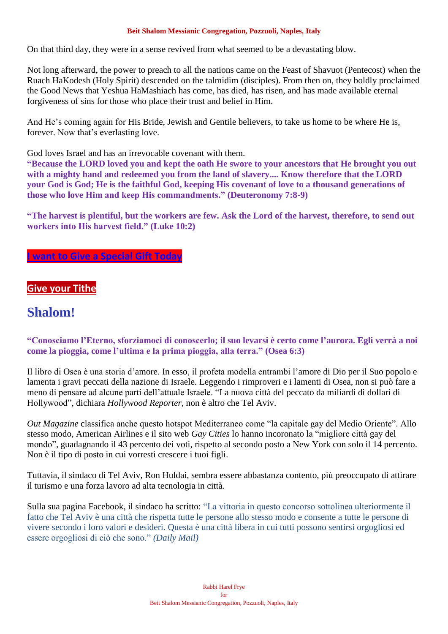On that third day, they were in a sense revived from what seemed to be a devastating blow.

Not long afterward, the power to preach to all the nations came on the Feast of Shavuot (Pentecost) when the Ruach HaKodesh (Holy Spirit) descended on the talmidim (disciples). From then on, they boldly proclaimed the Good News that Yeshua HaMashiach has come, has died, has risen, and has made available eternal forgiveness of sins for those who place their trust and belief in Him.

And He's coming again for His Bride, Jewish and Gentile believers, to take us home to be where He is, forever. Now that's everlasting love.

God loves Israel and has an irrevocable covenant with them.

**"Because the LORD loved you and kept the oath He swore to your ancestors that He brought you out with a mighty hand and redeemed you from the land of slavery.... Know therefore that the LORD your God is God; He is the faithful God, keeping His covenant of love to a thousand generations of those who love Him and keep His commandments." (Deuteronomy 7:8-9)**

**"The harvest is plentiful, but the workers are few. Ask the Lord of the harvest, therefore, to send out workers into His harvest field." (Luke 10:2)**

## **[I want to Give a Special Gift Today](https://villageofhopejusticeministry.org/)**

## **[Give your Tithe](https://villageofhopejusticeministry.org/)**

# **Shalom!**

**"Conosciamo l'Eterno, sforziamoci di conoscerlo; il suo levarsi è certo come l'aurora. Egli verrà a noi come la pioggia, come l'ultima e la prima pioggia, alla terra." (Osea 6:3)**

Il libro di Osea è una storia d'amore. In esso, il profeta modella entrambi l'amore di Dio per il Suo popolo e lamenta i gravi peccati della nazione di Israele. Leggendo i rimproveri e i lamenti di Osea, non si può fare a meno di pensare ad alcune parti dell'attuale Israele. "La nuova città del peccato da miliardi di dollari di Hollywood", dichiara *Hollywood Reporter*, non è altro che Tel Aviv.

*Out Magazine* classifica anche questo hotspot Mediterraneo come "la capitale gay del Medio Oriente". Allo stesso modo, American Airlines e il sito web *Gay Cities* lo hanno incoronato la "migliore città gay del mondo", guadagnando il 43 percento dei voti, rispetto al secondo posto a New York con solo il 14 percento. Non è il tipo di posto in cui vorresti crescere i tuoi figli.

Tuttavia, il sindaco di Tel Aviv, Ron Huldai, sembra essere abbastanza contento, più preoccupato di attirare il turismo e una forza lavoro ad alta tecnologia in città.

Sulla sua pagina Facebook, il sindaco ha scritto: "La vittoria in questo concorso sottolinea ulteriormente il fatto che Tel Aviv è una città che rispetta tutte le persone allo stesso modo e consente a tutte le persone di vivere secondo i loro valori e desideri. Questa è una città libera in cui tutti possono sentirsi orgogliosi ed essere orgogliosi di ciò che sono." *(Daily Mail)*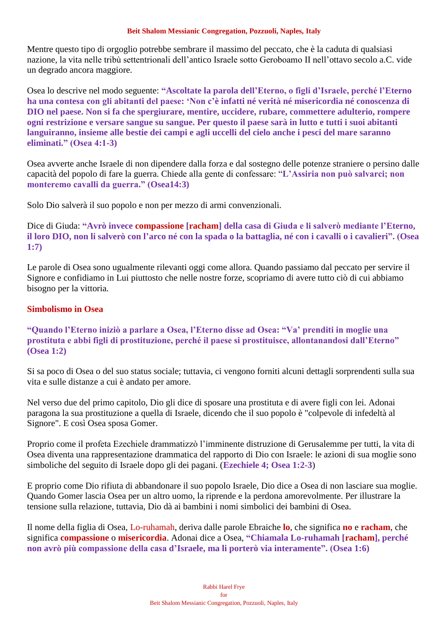Mentre questo tipo di orgoglio potrebbe sembrare il massimo del peccato, che è la caduta di qualsiasi nazione, la vita nelle tribù settentrionali dell'antico Israele sotto Geroboamo II nell'ottavo secolo a.C. vide un degrado ancora maggiore.

Osea lo descrive nel modo seguente: **"Ascoltate la parola dell'Eterno, o figli d'Israele, perché l'Eterno ha una contesa con gli abitanti del paese: 'Non c'è infatti né verità né misericordia né conoscenza di DIO nel paese. Non si fa che spergiurare, mentire, uccidere, rubare, commettere adulterio, rompere ogni restrizione e versare sangue su sangue. Per questo il paese sarà in lutto e tutti i suoi abitanti languiranno, insieme alle bestie dei campi e agli uccelli del cielo anche i pesci del mare saranno eliminati." (Osea 4:1-3)**

Osea avverte anche Israele di non dipendere dalla forza e dal sostegno delle potenze straniere o persino dalle capacità del popolo di fare la guerra. Chiede alla gente di confessare: "**L'Assiria non può salvarci; non monteremo cavalli da guerra." (Osea14:3)**

Solo Dio salverà il suo popolo e non per mezzo di armi convenzionali.

Dice di Giuda: **"Avrò invece compassione [racham] della casa di Giuda e li salverò mediante l'Eterno, il loro DIO, non li salverò con l'arco né con la spada o la battaglia, né con i cavalli o i cavalieri". (Osea 1:7)**

Le parole di Osea sono ugualmente rilevanti oggi come allora. Quando passiamo dal peccato per servire il Signore e confidiamo in Lui piuttosto che nelle nostre forze, scopriamo di avere tutto ciò di cui abbiamo bisogno per la vittoria.

## **Simbolismo in Osea**

**"Quando l'Eterno iniziò a parlare a Osea, l'Eterno disse ad Osea: "Va' prenditi in moglie una prostituta e abbi figli di prostituzione, perché il paese si prostituisce, allontanandosi dall'Eterno" (Osea 1:2)**

Si sa poco di Osea o del suo status sociale; tuttavia, ci vengono forniti alcuni dettagli sorprendenti sulla sua vita e sulle distanze a cui è andato per amore.

Nel verso due del primo capitolo, Dio gli dice di sposare una prostituta e di avere figli con lei. Adonai paragona la sua prostituzione a quella di Israele, dicendo che il suo popolo è "colpevole di infedeltà al Signore". E così Osea sposa Gomer.

Proprio come il profeta Ezechiele drammatizzò l'imminente distruzione di Gerusalemme per tutti, la vita di Osea diventa una rappresentazione drammatica del rapporto di Dio con Israele: le azioni di sua moglie sono simboliche del seguito di Israele dopo gli dei pagani. (**Ezechiele 4; Osea 1:2-3**)

E proprio come Dio rifiuta di abbandonare il suo popolo Israele, Dio dice a Osea di non lasciare sua moglie. Quando Gomer lascia Osea per un altro uomo, la riprende e la perdona amorevolmente. Per illustrare la tensione sulla relazione, tuttavia, Dio dà ai bambini i nomi simbolici dei bambini di Osea.

Il nome della figlia di Osea, Lo-ruhamah, deriva dalle parole Ebraiche **lo**, che significa **no** e **racham**, che significa **compassione** o **misericordia**. Adonai dice a Osea, **"Chiamala Lo-ruhamah [racham], perché non avrò più compassione della casa d'Israele, ma li porterò via interamente". (Osea 1:6)**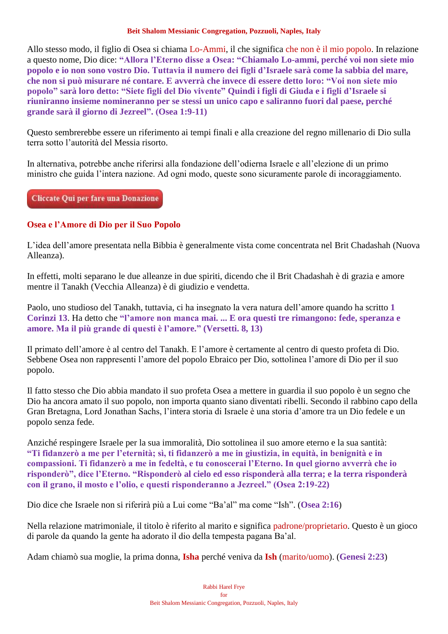Allo stesso modo, il figlio di Osea si chiama Lo-Ammi, il che significa che non è il mio popolo. In relazione a questo nome, Dio dice: **"Allora l'Eterno disse a Osea: "Chiamalo Lo-ammi, perché voi non siete mio popolo e io non sono vostro Dio. Tuttavia il numero dei figli d'Israele sarà come la sabbia del mare, che non si può misurare né contare. E avverrà che invece di essere detto loro: "Voi non siete mio popolo" sarà loro detto: "Siete figli del Dio vivente" Quindi i figli di Giuda e i figli d'Israele si riuniranno insieme nomineranno per se stessi un unico capo e saliranno fuori dal paese, perché grande sarà il giorno di Jezreel". (Osea 1:9-11)**

Questo sembrerebbe essere un riferimento ai tempi finali e alla creazione del regno millenario di Dio sulla terra sotto l'autorità del Messia risorto.

In alternativa, potrebbe anche riferirsi alla fondazione dell'odierna Israele e all'elezione di un primo ministro che guida l'intera nazione. Ad ogni modo, queste sono sicuramente parole di incoraggiamento.

Cliccate Qui per fare una Donazione

## **Osea e l'Amore di Dio per il Suo Popolo**

L'idea dell'amore presentata nella Bibbia è generalmente vista come concentrata nel Brit Chadashah (Nuova Alleanza).

In effetti, molti separano le due alleanze in due spiriti, dicendo che il Brit Chadashah è di grazia e amore mentre il Tanakh (Vecchia Alleanza) è di giudizio e vendetta.

Paolo, uno studioso del Tanakh, tuttavia, ci ha insegnato la vera natura dell'amore quando ha scritto **1 Corinzi 13**. Ha detto che **"l'amore non manca mai. ... E ora questi tre rimangono: fede, speranza e amore. Ma il più grande di questi è l'amore." (Versetti. 8, 13)**

Il primato dell'amore è al centro del Tanakh. E l'amore è certamente al centro di questo profeta di Dio. Sebbene Osea non rappresenti l'amore del popolo Ebraico per Dio, sottolinea l'amore di Dio per il suo popolo.

Il fatto stesso che Dio abbia mandato il suo profeta Osea a mettere in guardia il suo popolo è un segno che Dio ha ancora amato il suo popolo, non importa quanto siano diventati ribelli. Secondo il rabbino capo della Gran Bretagna, Lord Jonathan Sachs, l'intera storia di Israele è una storia d'amore tra un Dio fedele e un popolo senza fede.

Anziché respingere Israele per la sua immoralità, Dio sottolinea il suo amore eterno e la sua santità: **"Ti fidanzerò a me per l'eternità; sì, ti fidanzerò a me in giustizia, in equità, in benignità e in compassioni. Ti fidanzerò a me in fedeltà, e tu conoscerai l'Eterno. In quel giorno avverrà che io risponderò", dice l'Eterno. "Risponderò al cielo ed esso risponderà alla terra; e la terra risponderà con il grano, il mosto e l'olio, e questi risponderanno a Jezreel." (Osea 2:19-22)**

Dio dice che Israele non si riferirà più a Lui come "Ba'al" ma come "Ish". (**Osea 2:16**)

Nella relazione matrimoniale, il titolo è riferito al marito e significa padrone/proprietario. Questo è un gioco di parole da quando la gente ha adorato il dio della tempesta pagana Ba'al.

Adam chiamò sua moglie, la prima donna, **Isha** perché veniva da **Ish** (marito/uomo). (**Genesi 2:23**)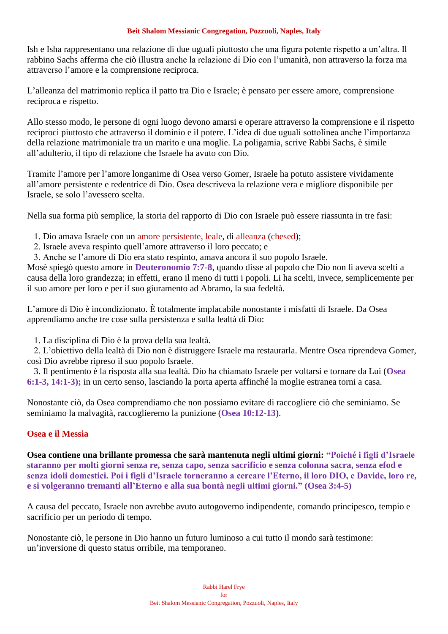Ish e Isha rappresentano una relazione di due uguali piuttosto che una figura potente rispetto a un'altra. Il rabbino Sachs afferma che ciò illustra anche la relazione di Dio con l'umanità, non attraverso la forza ma attraverso l'amore e la comprensione reciproca.

L'alleanza del matrimonio replica il patto tra Dio e Israele; è pensato per essere amore, comprensione reciproca e rispetto.

Allo stesso modo, le persone di ogni luogo devono amarsi e operare attraverso la comprensione e il rispetto reciproci piuttosto che attraverso il dominio e il potere. L'idea di due uguali sottolinea anche l'importanza della relazione matrimoniale tra un marito e una moglie. La poligamia, scrive Rabbi Sachs, è simile all'adulterio, il tipo di relazione che Israele ha avuto con Dio.

Tramite l'amore per l'amore longanime di Osea verso Gomer, Israele ha potuto assistere vividamente all'amore persistente e redentrice di Dio. Osea descriveva la relazione vera e migliore disponibile per Israele, se solo l'avessero scelta.

Nella sua forma più semplice, la storia del rapporto di Dio con Israele può essere riassunta in tre fasi:

- 1. Dio amava Israele con un amore persistente, leale, di alleanza (chesed);
- 2. Israele aveva respinto quell'amore attraverso il loro peccato; e
- 3. Anche se l'amore di Dio era stato respinto, amava ancora il suo popolo Israele.

Mosè spiegò questo amore in **Deuteronomio 7:7-8**, quando disse al popolo che Dio non li aveva scelti a causa della loro grandezza; in effetti, erano il meno di tutti i popoli. Li ha scelti, invece, semplicemente per il suo amore per loro e per il suo giuramento ad Abramo, la sua fedeltà.

L'amore di Dio è incondizionato. È totalmente implacabile nonostante i misfatti di Israele. Da Osea apprendiamo anche tre cose sulla persistenza e sulla lealtà di Dio:

1. La disciplina di Dio è la prova della sua lealtà.

 2. L'obiettivo della lealtà di Dio non è distruggere Israele ma restaurarla. Mentre Osea riprendeva Gomer, così Dio avrebbe ripreso il suo popolo Israele.

 3. Il pentimento è la risposta alla sua lealtà. Dio ha chiamato Israele per voltarsi e tornare da Lui (**Osea 6:1-3, 14:1-3);** in un certo senso, lasciando la porta aperta affinché la moglie estranea torni a casa.

Nonostante ciò, da Osea comprendiamo che non possiamo evitare di raccogliere ciò che seminiamo. Se seminiamo la malvagità, raccoglieremo la punizione (**Osea 10:12-13**).

## **Osea e il Messia**

**Osea contiene una brillante promessa che sarà mantenuta negli ultimi giorni: "Poiché i figli d'Israele staranno per molti giorni senza re, senza capo, senza sacrificio e senza colonna sacra, senza efod e senza idoli domestici. Poi i figli d'Israele torneranno a cercare l'Eterno, il loro DIO, e Davide, loro re, e si volgeranno tremanti all'Eterno e alla sua bontà negli ultimi giorni." (Osea 3:4-5)**

A causa del peccato, Israele non avrebbe avuto autogoverno indipendente, comando principesco, tempio e sacrificio per un periodo di tempo.

Nonostante ciò, le persone in Dio hanno un futuro luminoso a cui tutto il mondo sarà testimone: un'inversione di questo status orribile, ma temporaneo.